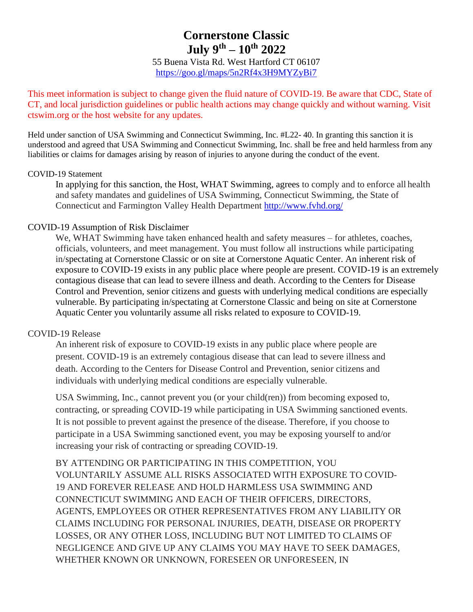# **Cornerstone Classic July 9 th – 10th 2022**

55 Buena Vista Rd. West Hartford CT 06107 <https://goo.gl/maps/5n2Rf4x3H9MYZyBi7>

This meet information is subject to change given the fluid nature of COVID-19. Be aware that CDC, State of CT, and local jurisdiction guidelines or public health actions may change quickly and without warning. Visit ctswim.org or the host website for any updates.

Held under sanction of USA Swimming and Connecticut Swimming, Inc. #L22- 40. In granting this sanction it is understood and agreed that USA Swimming and Connecticut Swimming, Inc. shall be free and held harmless from any liabilities or claims for damages arising by reason of injuries to anyone during the conduct of the event.

#### COVID-19 Statement

In applying for this sanction, the Host, WHAT Swimming, agrees to comply and to enforce all health and safety mandates and guidelines of USA Swimming, Connecticut Swimming, the State of Connecticut and Farmington Valley Health Department<http://www.fvhd.org/>

#### COVID-19 Assumption of Risk Disclaimer

We, WHAT Swimming have taken enhanced health and safety measures – for athletes, coaches, officials, volunteers, and meet management. You must follow all instructions while participating in/spectating at Cornerstone Classic or on site at Cornerstone Aquatic Center. An inherent risk of exposure to COVID-19 exists in any public place where people are present. COVID-19 is an extremely contagious disease that can lead to severe illness and death. According to the Centers for Disease Control and Prevention, senior citizens and guests with underlying medical conditions are especially vulnerable. By participating in/spectating at Cornerstone Classic and being on site at Cornerstone Aquatic Center you voluntarily assume all risks related to exposure to COVID-19.

#### COVID-19 Release

An inherent risk of exposure to COVID-19 exists in any public place where people are present. COVID-19 is an extremely contagious disease that can lead to severe illness and death. According to the Centers for Disease Control and Prevention, senior citizens and individuals with underlying medical conditions are especially vulnerable.

USA Swimming, Inc., cannot prevent you (or your child(ren)) from becoming exposed to, contracting, or spreading COVID-19 while participating in USA Swimming sanctioned events. It is not possible to prevent against the presence of the disease. Therefore, if you choose to participate in a USA Swimming sanctioned event, you may be exposing yourself to and/or increasing your risk of contracting or spreading COVID-19.

BY ATTENDING OR PARTICIPATING IN THIS COMPETITION, YOU VOLUNTARILY ASSUME ALL RISKS ASSOCIATED WITH EXPOSURE TO COVID-19 AND FOREVER RELEASE AND HOLD HARMLESS USA SWIMMING AND CONNECTICUT SWIMMING AND EACH OF THEIR OFFICERS, DIRECTORS, AGENTS, EMPLOYEES OR OTHER REPRESENTATIVES FROM ANY LIABILITY OR CLAIMS INCLUDING FOR PERSONAL INJURIES, DEATH, DISEASE OR PROPERTY LOSSES, OR ANY OTHER LOSS, INCLUDING BUT NOT LIMITED TO CLAIMS OF NEGLIGENCE AND GIVE UP ANY CLAIMS YOU MAY HAVE TO SEEK DAMAGES, WHETHER KNOWN OR UNKNOWN, FORESEEN OR UNFORESEEN, IN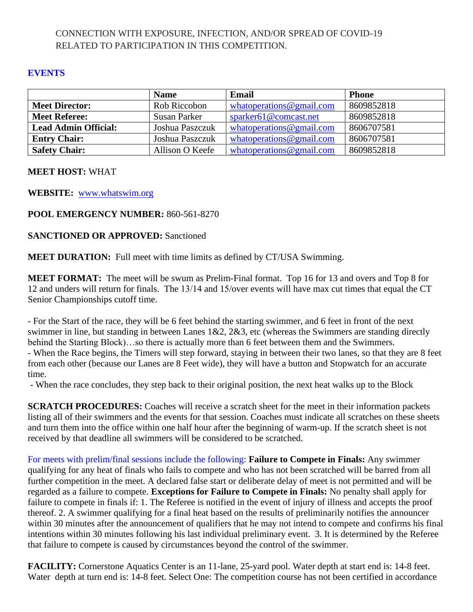### CONNECTION WITH EXPOSURE, INFECTION, AND/OR SPREAD OF COVID-19 RELATED TO PARTICIPATION IN THIS COMPETITION.

### **EVENTS**

|                             | <b>Name</b>     | Email                         | <b>Phone</b> |
|-----------------------------|-----------------|-------------------------------|--------------|
| <b>Meet Director:</b>       | Rob Riccobon    | what operations $@$ gmail.com | 8609852818   |
| <b>Meet Referee:</b>        | Susan Parker    | sparker61@comcast.net         | 8609852818   |
| <b>Lead Admin Official:</b> | Joshua Paszczuk | what operations $@$ gmail.com | 8606707581   |
| <b>Entry Chair:</b>         | Joshua Paszczuk | what operations $@$ gmail.com | 8606707581   |
| <b>Safety Chair:</b>        | Allison O Keefe | what operations $@$ gmail.com | 8609852818   |

### **MEET HOST:** WHAT

**WEBSITE:** [www.whatswim.org](http://www.whatswim.org/)

### **POOL EMERGENCY NUMBER:** 860-561-8270

### **SANCTIONED OR APPROVED:** Sanctioned

**MEET DURATION:** Full meet with time limits as defined by CT/USA Swimming.

**MEET FORMAT:** The meet will be swum as Prelim-Final format. Top 16 for 13 and overs and Top 8 for 12 and unders will return for finals. The 13/14 and 15/over events will have max cut times that equal the CT Senior Championships cutoff time.

- For the Start of the race, they will be 6 feet behind the starting swimmer, and 6 feet in front of the next swimmer in line, but standing in between Lanes 1&2, 2&3, etc (whereas the Swimmers are standing directly behind the Starting Block)…so there is actually more than 6 feet between them and the Swimmers. - When the Race begins, the Timers will step forward, staying in between their two lanes, so that they are 8 feet from each other (because our Lanes are 8 Feet wide), they will have a button and Stopwatch for an accurate time.

- When the race concludes, they step back to their original position, the next heat walks up to the Block

**SCRATCH PROCEDURES:** Coaches will receive a scratch sheet for the meet in their information packets listing all of their swimmers and the events for that session. Coaches must indicate all scratches on these sheets and turn them into the office within one half hour after the beginning of warm-up. If the scratch sheet is not received by that deadline all swimmers will be considered to be scratched.

For meets with prelim/final sessions include the following: **Failure to Compete in Finals:** Any swimmer qualifying for any heat of finals who fails to compete and who has not been scratched will be barred from all further competition in the meet. A declared false start or deliberate delay of meet is not permitted and will be regarded as a failure to compete. **Exceptions for Failure to Compete in Finals:** No penalty shall apply for failure to compete in finals if: 1. The Referee is notified in the event of injury of illness and accepts the proof thereof. 2. A swimmer qualifying for a final heat based on the results of preliminarily notifies the announcer within 30 minutes after the announcement of qualifiers that he may not intend to compete and confirms his final intentions within 30 minutes following his last individual preliminary event. 3. It is determined by the Referee that failure to compete is caused by circumstances beyond the control of the swimmer.

**FACILITY:** Cornerstone Aquatics Center is an 11-lane, 25-yard pool. Water depth at start end is: 14-8 feet. Water depth at turn end is: 14-8 feet. Select One: The competition course has not been certified in accordance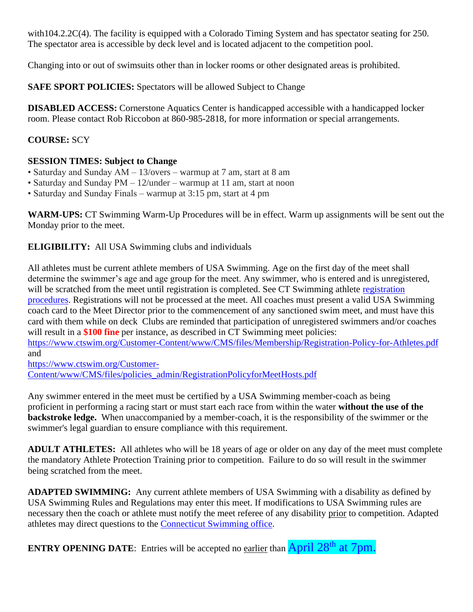with104.2.2C(4). The facility is equipped with a Colorado Timing System and has spectator seating for 250. The spectator area is accessible by deck level and is located adjacent to the competition pool.

Changing into or out of swimsuits other than in locker rooms or other designated areas is prohibited.

**SAFE SPORT POLICIES:** Spectators will be allowed Subject to Change

**DISABLED ACCESS:** Cornerstone Aquatics Center is handicapped accessible with a handicapped locker room. Please contact Rob Riccobon at 860-985-2818, for more information or special arrangements.

### **COURSE:** SCY

### **SESSION TIMES: Subject to Change**

- Saturday and Sunday AM 13/overs warmup at 7 am, start at 8 am
- Saturday and Sunday PM 12/under warmup at 11 am, start at noon
- Saturday and Sunday Finals warmup at 3:15 pm, start at 4 pm

**WARM-UPS:** CT Swimming Warm-Up Procedures will be in effect. Warm up assignments will be sent out the Monday prior to the meet.

**ELIGIBILITY:** All USA Swimming clubs and individuals

All athletes must be current athlete members of USA Swimming. Age on the first day of the meet shall determine the swimmer's age and age group for the meet. Any swimmer, who is entered and is unregistered, will be scratched from the meet until [registration](https://www.ctswim.org/Membership/Athletes/) is completed. See CT Swimming athlete registration [procedures.](https://www.ctswim.org/Membership/Athletes/) Registrations will not be processed at the meet. All coaches must present a valid USA Swimming coach card to the Meet Director prior to the commencement of any sanctioned swim meet, and must have this card with them while on deck Clubs are reminded that participation of unregistered swimmers and/or coaches will result in a **\$100 fine** per instance, as described in CT Swimming meet policies:

<https://www.ctswim.org/Customer-Content/www/CMS/files/Membership/Registration-Policy-for-Athletes.pdf> and

[https://www.ctswim.org/Customer-](https://www.ctswim.org/Customer-Content/www/CMS/files/policies_admin/RegistrationPolicyforMeetHosts.pdf)[Content/www/CMS/files/policies\\_admin/RegistrationPolicyforMeetHosts.pdf](https://www.ctswim.org/Customer-Content/www/CMS/files/policies_admin/RegistrationPolicyforMeetHosts.pdf)

Any swimmer entered in the meet must be certified by a USA Swimming member-coach as being proficient in performing a racing start or must start each race from within the water **without the use of the backstroke ledge.** When unaccompanied by a member-coach, it is the responsibility of the swimmer or the swimmer's legal guardian to ensure compliance with this requirement.

**ADULT ATHLETES:** All athletes who will be 18 years of age or older on any day of the meet must complete the mandatory Athlete Protection Training prior to competition. Failure to do so will result in the swimmer being scratched from the meet.

**ADAPTED SWIMMING:** Any current athlete members of USA Swimming with a disability as defined by USA Swimming Rules and Regulations may enter this meet. If modifications to USA Swimming rules are necessary then the coach or athlete must notify the meet referee of any disability prior to competition. Adapted athletes may direct questions to the [Connecticut Swimming office.](mailto:office@ctswim.org)

**ENTRY OPENING DATE:** Entries will be accepted no earlier than **April 28<sup>th</sup> at 7pm.**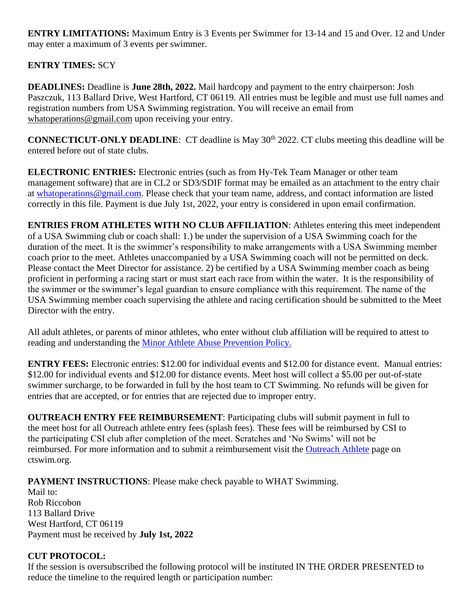**ENTRY LIMITATIONS:** Maximum Entry is 3 Events per Swimmer for 13-14 and 15 and Over. 12 and Under may enter a maximum of 3 events per swimmer.

### **ENTRY TIMES:** SCY

**DEADLINES:** Deadline is **June 28th, 2022.** Mail hardcopy and payment to the entry chairperson: Josh Paszczuk, 113 Ballard Drive, West Hartford, CT 06119. All entries must be legible and must use full names and registration numbers from USA Swimming registration. You will receive an email from [whatoperations@gmail.com](mailto:whatoperations@gmail.com) upon receiving your entry.

**CONNECTICUT-ONLY DEADLINE:** CT deadline is May 30<sup>th</sup> 2022. CT clubs meeting this deadline will be entered before out of state clubs.

**ELECTRONIC ENTRIES:** Electronic entries (such as from Hy-Tek Team Manager or other team management software) that are in CL2 or SD3/SDIF format may be emailed as an attachment to the entry chair at [whatoperations@gmail.com.](mailto:whatoperations@gmail.com) Please check that your team name, address, and contact information are listed correctly in this file. Payment is due July 1st, 2022, your entry is considered in upon email confirmation.

**ENTRIES FROM ATHLETES WITH NO CLUB AFFILIATION**: Athletes entering this meet independent of a USA Swimming club or coach shall: 1.) be under the supervision of a USA Swimming coach for the duration of the meet. It is the swimmer's responsibility to make arrangements with a USA Swimming member coach prior to the meet. Athletes unaccompanied by a USA Swimming coach will not be permitted on deck. Please contact the Meet Director for assistance. 2) be certified by a USA Swimming member coach as being proficient in performing a racing start or must start each race from within the water. It is the responsibility of the swimmer or the swimmer's legal guardian to ensure compliance with this requirement. The name of the USA Swimming member coach supervising the athlete and racing certification should be submitted to the Meet Director with the entry.

All adult athletes, or parents of minor athletes, who enter without club affiliation will be required to attest to reading and understanding the **Minor Athlete** Abuse Prevention Policy.

**ENTRY FEES:** Electronic entries: \$12.00 for individual events and \$12.00 for distance event. Manual entries: \$12.00 for individual events and \$12.00 for distance events. Meet host will collect a \$5.00 per out-of-state swimmer surcharge, to be forwarded in full by the host team to CT Swimming. No refunds will be given for entries that are accepted, or for entries that are rejected due to improper entry.

**OUTREACH ENTRY FEE REIMBURSEMENT**: Participating clubs will submit payment in full to the meet host for all Outreach athlete entry fees (splash fees). These fees will be reimbursed by CSI to the participating CSI club after completion of the meet. Scratches and 'No Swims' will not be reimbursed. For more information and to submit a reimbursement visit the [Outreach Athlete](https://www.ctswim.org/Membership/Athlete-Outreach/) page on ctswim.org.

**PAYMENT INSTRUCTIONS:** Please make check payable to WHAT Swimming.

Mail to: Rob Riccobon 113 Ballard Drive West Hartford, CT 06119 Payment must be received by **July 1st, 2022**

### **CUT PROTOCOL:**

If the session is oversubscribed the following protocol will be instituted IN THE ORDER PRESENTED to reduce the timeline to the required length or participation number: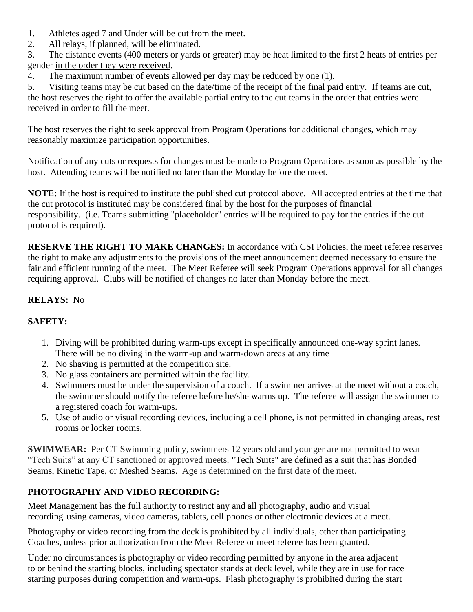- 1. Athletes aged 7 and Under will be cut from the meet.
- 2. All relays, if planned, will be eliminated.

3. The distance events (400 meters or yards or greater) may be heat limited to the first 2 heats of entries per gender in the order they were received.

4. The maximum number of events allowed per day may be reduced by one (1).

5. Visiting teams may be cut based on the date/time of the receipt of the final paid entry. If teams are cut, the host reserves the right to offer the available partial entry to the cut teams in the order that entries were received in order to fill the meet.

The host reserves the right to seek approval from Program Operations for additional changes, which may reasonably maximize participation opportunities.

Notification of any cuts or requests for changes must be made to Program Operations as soon as possible by the host. Attending teams will be notified no later than the Monday before the meet.

**NOTE:** If the host is required to institute the published cut protocol above. All accepted entries at the time that the cut protocol is instituted may be considered final by the host for the purposes of financial responsibility. (i.e. Teams submitting "placeholder" entries will be required to pay for the entries if the cut protocol is required).

**RESERVE THE RIGHT TO MAKE CHANGES:** In accordance with CSI Policies, the meet referee reserves the right to make any adjustments to the provisions of the meet announcement deemed necessary to ensure the fair and efficient running of the meet. The Meet Referee will seek Program Operations approval for all changes requiring approval. Clubs will be notified of changes no later than Monday before the meet.

### **RELAYS:** No

### **SAFETY:**

- 1. Diving will be prohibited during warm-ups except in specifically announced one-way sprint lanes. There will be no diving in the warm-up and warm-down areas at any time
- 2. No shaving is permitted at the competition site.
- 3. No glass containers are permitted within the facility.
- 4. Swimmers must be under the supervision of a coach. If a swimmer arrives at the meet without a coach, the swimmer should notify the referee before he/she warms up. The referee will assign the swimmer to a registered coach for warm-ups.
- 5. Use of audio or visual recording devices, including a cell phone, is not permitted in changing areas, rest rooms or locker rooms.

**SWIMWEAR:** Per CT Swimming policy, swimmers 12 years old and younger are not permitted to wear "Tech Suits" at any CT sanctioned or approved meets. "Tech Suits" are defined as a suit that has Bonded Seams, Kinetic Tape, or Meshed Seams. Age is determined on the first date of the meet.

### **PHOTOGRAPHY AND VIDEO RECORDING:**

Meet Management has the full authority to restrict any and all photography, audio and visual recording using cameras, video cameras, tablets, cell phones or other electronic devices at a meet.

Photography or video recording from the deck is prohibited by all individuals, other than participating Coaches, unless prior authorization from the Meet Referee or meet referee has been granted.

Under no circumstances is photography or video recording permitted by anyone in the area adjacent to or behind the starting blocks, including spectator stands at deck level, while they are in use for race starting purposes during competition and warm-ups. Flash photography is prohibited during the start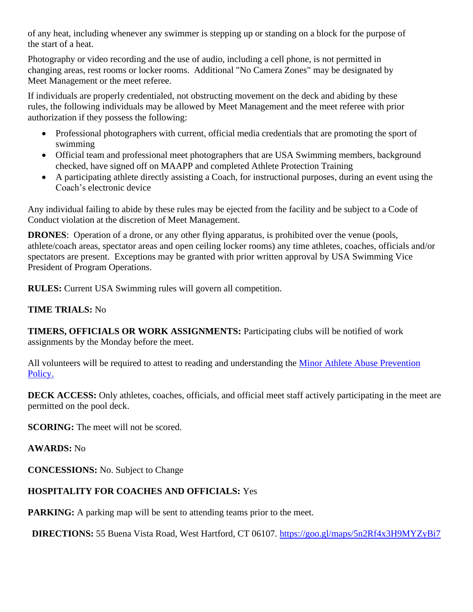of any heat, including whenever any swimmer is stepping up or standing on a block for the purpose of the start of a heat.

Photography or video recording and the use of audio, including a cell phone, is not permitted in changing areas, rest rooms or locker rooms. Additional "No Camera Zones" may be designated by Meet Management or the meet referee.

If individuals are properly credentialed, not obstructing movement on the deck and abiding by these rules, the following individuals may be allowed by Meet Management and the meet referee with prior authorization if they possess the following:

- Professional photographers with current, official media credentials that are promoting the sport of swimming
- Official team and professional meet photographers that are USA Swimming members, background checked, have signed off on MAAPP and completed Athlete Protection Training
- A participating athlete directly assisting a Coach, for instructional purposes, during an event using the Coach's electronic device

Any individual failing to abide by these rules may be ejected from the facility and be subject to a Code of Conduct violation at the discretion of Meet Management.

**DRONES**: Operation of a drone, or any other flying apparatus, is prohibited over the venue (pools, athlete/coach areas, spectator areas and open ceiling locker rooms) any time athletes, coaches, officials and/or spectators are present. Exceptions may be granted with prior written approval by USA Swimming Vice President of Program Operations.

**RULES:** Current USA Swimming rules will govern all competition.

### **TIME TRIALS:** No

**TIMERS, OFFICIALS OR WORK ASSIGNMENTS:** Participating clubs will be notified of work assignments by the Monday before the meet.

All volunteers will be required to attest to reading and understanding the [Minor Athlete Abuse Prevention](https://www.usaswimming.org/utility/landing-pages/minor-athlete-abuse-prevention-policy)  [Policy.](https://www.usaswimming.org/utility/landing-pages/minor-athlete-abuse-prevention-policy)

**DECK ACCESS:** Only athletes, coaches, officials, and official meet staff actively participating in the meet are permitted on the pool deck.

**SCORING:** The meet will not be scored.

### **AWARDS:** No

**CONCESSIONS:** No. Subject to Change

### **HOSPITALITY FOR COACHES AND OFFICIALS:** Yes

**PARKING:** A parking map will be sent to attending teams prior to the meet.

**DIRECTIONS:** 55 Buena Vista Road, West Hartford, CT 06107.<https://goo.gl/maps/5n2Rf4x3H9MYZyBi7>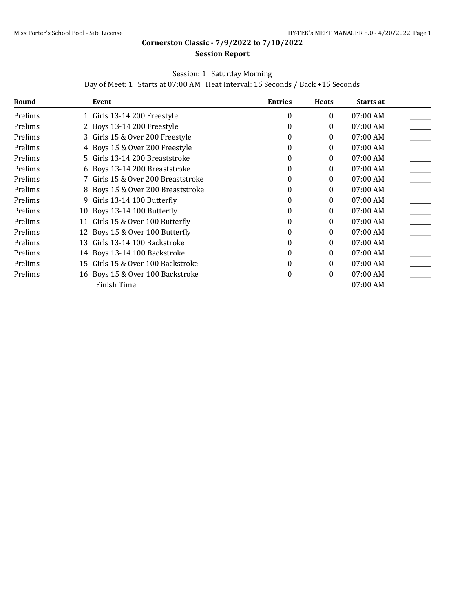#### **Session Report**

### Session: 1 Saturday Morning

Day of Meet: 1 Starts at 07:00 AM Heat Interval: 15 Seconds / Back +15 Seconds

| Round   | Event                                | <b>Entries</b> | <b>Heats</b> | Starts at |  |
|---------|--------------------------------------|----------------|--------------|-----------|--|
| Prelims | 1 Girls 13-14 200 Freestyle          | $\theta$       | 0            | 07:00 AM  |  |
| Prelims | 2 Boys 13-14 200 Freestyle           | 0              | 0            | 07:00 AM  |  |
| Prelims | 3 Girls 15 & Over 200 Freestyle      | 0              | 0            | 07:00 AM  |  |
| Prelims | 4 Boys 15 & Over 200 Freestyle       | $\Omega$       | 0            | 07:00 AM  |  |
| Prelims | 5 Girls 13-14 200 Breaststroke       | $\Omega$       | 0            | 07:00 AM  |  |
| Prelims | 6 Boys 13-14 200 Breaststroke        | $\Omega$       | 0            | 07:00 AM  |  |
| Prelims | 7 Girls 15 & Over 200 Breaststroke   | $\Omega$       | 0            | 07:00 AM  |  |
| Prelims | 8 Boys 15 & Over 200 Breaststroke    | $\Omega$       | 0            | 07:00 AM  |  |
| Prelims | Girls 13-14 100 Butterfly<br>9       | $\theta$       | 0            | 07:00 AM  |  |
| Prelims | 10 Boys 13-14 100 Butterfly          | $\theta$       | 0            | 07:00 AM  |  |
| Prelims | 11 Girls 15 & Over 100 Butterfly     | $\Omega$       | 0            | 07:00 AM  |  |
| Prelims | 12 Boys 15 & Over 100 Butterfly      | $\Omega$       | 0            | 07:00 AM  |  |
| Prelims | Girls 13-14 100 Backstroke<br>13     | $\Omega$       | 0            | 07:00 AM  |  |
| Prelims | 14 Boys 13-14 100 Backstroke         | $\Omega$       | 0            | 07:00 AM  |  |
| Prelims | Girls 15 & Over 100 Backstroke<br>15 | $\Omega$       | 0            | 07:00 AM  |  |
| Prelims | 16 Boys 15 & Over 100 Backstroke     | $\theta$       | 0            | 07:00 AM  |  |
|         | Finish Time                          |                |              | 07:00 AM  |  |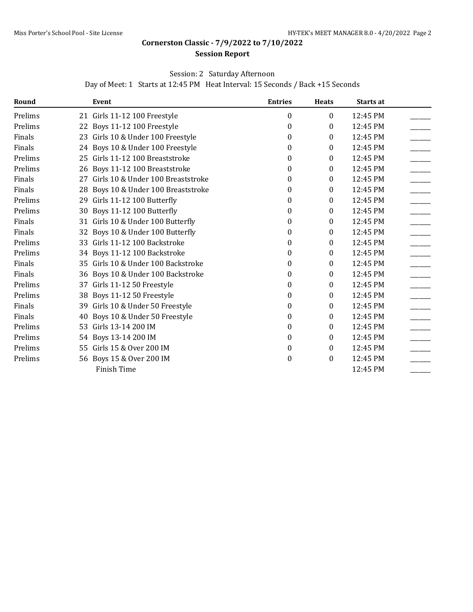#### **Session Report**

### Session: 2 Saturday Afternoon

Day of Meet: 1 Starts at 12:45 PM Heat Interval: 15 Seconds / Back +15 Seconds

| Round   |    | Event                              | <b>Entries</b> | <b>Heats</b> | Starts at |  |
|---------|----|------------------------------------|----------------|--------------|-----------|--|
| Prelims |    | 21 Girls 11-12 100 Freestyle       | 0              | $\bf{0}$     | 12:45 PM  |  |
| Prelims |    | 22 Boys 11-12 100 Freestyle        | $\theta$       | $\Omega$     | 12:45 PM  |  |
| Finals  |    | 23 Girls 10 & Under 100 Freestyle  | 0              | $\theta$     | 12:45 PM  |  |
| Finals  |    | 24 Boys 10 & Under 100 Freestyle   | 0              | 0            | 12:45 PM  |  |
| Prelims |    | 25 Girls 11-12 100 Breaststroke    | 0              | $\theta$     | 12:45 PM  |  |
| Prelims |    | 26 Boys 11-12 100 Breaststroke     | 0              | $\theta$     | 12:45 PM  |  |
| Finals  | 27 | Girls 10 & Under 100 Breaststroke  | 0              | $\Omega$     | 12:45 PM  |  |
| Finals  | 28 | Boys 10 & Under 100 Breaststroke   | 0              | 0            | 12:45 PM  |  |
| Prelims |    | 29 Girls 11-12 100 Butterfly       | 0              | $\mathbf{0}$ | 12:45 PM  |  |
| Prelims | 30 | Boys 11-12 100 Butterfly           | 0              | 0            | 12:45 PM  |  |
| Finals  | 31 | Girls 10 & Under 100 Butterfly     | 0              | 0            | 12:45 PM  |  |
| Finals  |    | 32 Boys 10 & Under 100 Butterfly   | 0              | $\theta$     | 12:45 PM  |  |
| Prelims | 33 | Girls 11-12 100 Backstroke         | 0              | $\theta$     | 12:45 PM  |  |
| Prelims | 34 | Boys 11-12 100 Backstroke          | 0              | $\theta$     | 12:45 PM  |  |
| Finals  |    | 35 Girls 10 & Under 100 Backstroke | 0              | 0            | 12:45 PM  |  |
| Finals  |    | 36 Boys 10 & Under 100 Backstroke  | 0              | 0            | 12:45 PM  |  |
| Prelims | 37 | Girls 11-12 50 Freestyle           | 0              | 0            | 12:45 PM  |  |
| Prelims |    | 38 Boys 11-12 50 Freestyle         | 0              | $\mathbf{0}$ | 12:45 PM  |  |
| Finals  | 39 | Girls 10 & Under 50 Freestyle      | 0              | 0            | 12:45 PM  |  |
| Finals  | 40 | Boys 10 & Under 50 Freestyle       | 0              | 0            | 12:45 PM  |  |
| Prelims | 53 | Girls 13-14 200 IM                 | 0              | 0            | 12:45 PM  |  |
| Prelims |    | 54 Boys 13-14 200 IM               | 0              | $\theta$     | 12:45 PM  |  |
| Prelims |    | 55 Girls 15 & Over 200 IM          | 0              | $\Omega$     | 12:45 PM  |  |
| Prelims |    | 56 Boys 15 & Over 200 IM           | 0              | $\theta$     | 12:45 PM  |  |
|         |    | Finish Time                        |                |              | 12:45 PM  |  |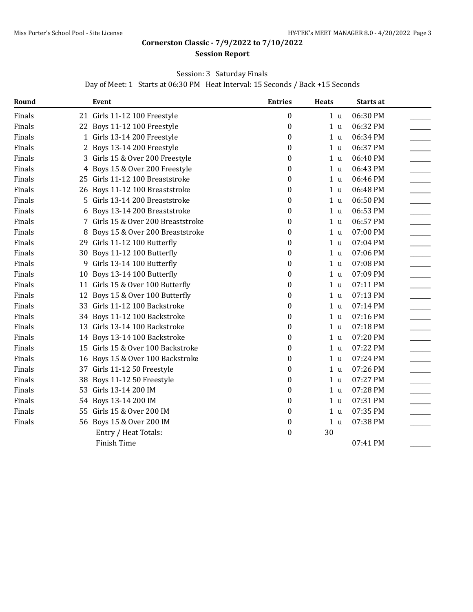#### **Session Report**

### Session: 3 Saturday Finals

Day of Meet: 1 Starts at 06:30 PM Heat Interval: 15 Seconds / Back +15 Seconds

| Round  |    | Event                             | <b>Entries</b>   | <b>Heats</b>   | Starts at |  |
|--------|----|-----------------------------------|------------------|----------------|-----------|--|
| Finals |    | 21 Girls 11-12 100 Freestyle      | $\boldsymbol{0}$ | 1 <sub>u</sub> | 06:30 PM  |  |
| Finals |    | 22 Boys 11-12 100 Freestyle       | 0                | 1 <sub>u</sub> | 06:32 PM  |  |
| Finals |    | 1 Girls 13-14 200 Freestyle       | 0                | 1 <sub>u</sub> | 06:34 PM  |  |
| Finals |    | 2 Boys 13-14 200 Freestyle        | $\boldsymbol{0}$ | 1 <sub>u</sub> | 06:37 PM  |  |
| Finals | 3  | Girls 15 & Over 200 Freestyle     | 0                | 1 <sub>u</sub> | 06:40 PM  |  |
| Finals |    | 4 Boys 15 & Over 200 Freestyle    | $\boldsymbol{0}$ | 1 <sub>u</sub> | 06:43 PM  |  |
| Finals |    | 25 Girls 11-12 100 Breaststroke   | 0                | 1 <sub>u</sub> | 06:46 PM  |  |
| Finals |    | 26 Boys 11-12 100 Breaststroke    | $\boldsymbol{0}$ | 1 <sub>u</sub> | 06:48 PM  |  |
| Finals | 5  | Girls 13-14 200 Breaststroke      | $\boldsymbol{0}$ | 1 <sub>u</sub> | 06:50 PM  |  |
| Finals | 6  | Boys 13-14 200 Breaststroke       | 0                | 1 <sub>u</sub> | 06:53 PM  |  |
| Finals | 7  | Girls 15 & Over 200 Breaststroke  | 0                | 1 <sub>u</sub> | 06:57 PM  |  |
| Finals | 8  | Boys 15 & Over 200 Breaststroke   | 0                | 1 <sub>u</sub> | 07:00 PM  |  |
| Finals |    | 29 Girls 11-12 100 Butterfly      | 0                | 1 <sub>u</sub> | 07:04 PM  |  |
| Finals |    | 30 Boys 11-12 100 Butterfly       | 0                | 1 <sub>u</sub> | 07:06 PM  |  |
| Finals |    | 9 Girls 13-14 100 Butterfly       | 0                | 1 <sub>u</sub> | 07:08 PM  |  |
| Finals | 10 | Boys 13-14 100 Butterfly          | $\boldsymbol{0}$ | 1 <sub>u</sub> | 07:09 PM  |  |
| Finals |    | 11 Girls 15 & Over 100 Butterfly  | 0                | 1 <sub>u</sub> | 07:11 PM  |  |
| Finals | 12 | Boys 15 & Over 100 Butterfly      | 0                | 1 <sub>u</sub> | 07:13 PM  |  |
| Finals |    | 33 Girls 11-12 100 Backstroke     | $\boldsymbol{0}$ | 1 <sub>u</sub> | 07:14 PM  |  |
| Finals |    | 34 Boys 11-12 100 Backstroke      | $\boldsymbol{0}$ | 1 <sub>u</sub> | 07:16 PM  |  |
| Finals |    | 13 Girls 13-14 100 Backstroke     | 0                | 1 <sub>u</sub> | 07:18 PM  |  |
| Finals |    | 14 Boys 13-14 100 Backstroke      | 0                | 1 <sub>u</sub> | 07:20 PM  |  |
| Finals |    | 15 Girls 15 & Over 100 Backstroke | 0                | 1 <sub>u</sub> | 07:22 PM  |  |
| Finals | 16 | Boys 15 & Over 100 Backstroke     | $\boldsymbol{0}$ | 1 <sub>u</sub> | 07:24 PM  |  |
| Finals |    | 37 Girls 11-12 50 Freestyle       | 0                | 1 <sub>u</sub> | 07:26 PM  |  |
| Finals | 38 | Boys 11-12 50 Freestyle           | $\boldsymbol{0}$ | 1 <sub>u</sub> | 07:27 PM  |  |
| Finals | 53 | Girls 13-14 200 IM                | 0                | 1 <sub>u</sub> | 07:28 PM  |  |
| Finals |    | 54 Boys 13-14 200 IM              | 0                | 1 <sub>u</sub> | 07:31 PM  |  |
| Finals |    | 55 Girls 15 & Over 200 IM         | $\boldsymbol{0}$ | 1 <sub>u</sub> | 07:35 PM  |  |
| Finals |    | 56 Boys 15 & Over 200 IM          | 0                | 1 <sub>u</sub> | 07:38 PM  |  |
|        |    | Entry / Heat Totals:              | $\boldsymbol{0}$ | 30             |           |  |
|        |    | Finish Time                       |                  |                | 07:41 PM  |  |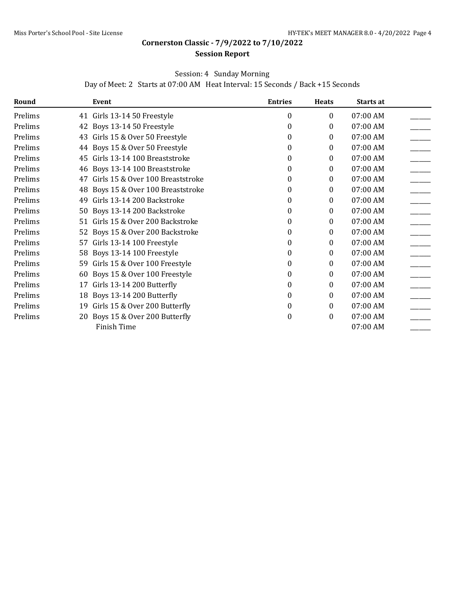#### **Session Report**

### Session: 4 Sunday Morning

Day of Meet: 2 Starts at 07:00 AM Heat Interval: 15 Seconds / Back +15 Seconds

| Round   |    | Event                            | <b>Entries</b> | <b>Heats</b> | <b>Starts at</b> |  |
|---------|----|----------------------------------|----------------|--------------|------------------|--|
| Prelims |    | 41 Girls 13-14 50 Freestyle      | 0              | $\theta$     | 07:00 AM         |  |
| Prelims |    | 42 Boys 13-14 50 Freestyle       | 0              | 0            | 07:00 AM         |  |
| Prelims | 43 | Girls 15 & Over 50 Freestyle     | 0              | $\theta$     | 07:00 AM         |  |
| Prelims |    | 44 Boys 15 & Over 50 Freestyle   | 0              | 0            | 07:00 AM         |  |
| Prelims | 45 | Girls 13-14 100 Breaststroke     | 0              | 0            | 07:00 AM         |  |
| Prelims |    | 46 Boys 13-14 100 Breaststroke   | 0              | $\theta$     | 07:00 AM         |  |
| Prelims | 47 | Girls 15 & Over 100 Breaststroke | 0              | $\theta$     | 07:00 AM         |  |
| Prelims | 48 | Boys 15 & Over 100 Breaststroke  | 0              | 0            | 07:00 AM         |  |
| Prelims | 49 | Girls 13-14 200 Backstroke       | 0              | 0            | 07:00 AM         |  |
| Prelims | 50 | Boys 13-14 200 Backstroke        | 0              | $\theta$     | 07:00 AM         |  |
| Prelims | 51 | Girls 15 & Over 200 Backstroke   | 0              | 0            | 07:00 AM         |  |
| Prelims | 52 | Boys 15 & Over 200 Backstroke    | 0              | $\theta$     | 07:00 AM         |  |
| Prelims | 57 | Girls 13-14 100 Freestyle        | 0              | $\theta$     | 07:00 AM         |  |
| Prelims | 58 | Boys 13-14 100 Freestyle         | 0              | 0            | 07:00 AM         |  |
| Prelims | 59 | Girls 15 & Over 100 Freestyle    | 0              | 0            | 07:00 AM         |  |
| Prelims | 60 | Boys 15 & Over 100 Freestyle     | 0              | $\theta$     | 07:00 AM         |  |
| Prelims | 17 | Girls 13-14 200 Butterfly        | 0              | 0            | 07:00 AM         |  |
| Prelims | 18 | Boys 13-14 200 Butterfly         | 0              | $\theta$     | 07:00 AM         |  |
| Prelims | 19 | Girls 15 & Over 200 Butterfly    | 0              | $\theta$     | 07:00 AM         |  |
| Prelims | 20 | Boys 15 & Over 200 Butterfly     | 0              | $\theta$     | 07:00 AM         |  |
|         |    | Finish Time                      |                |              | 07:00 AM         |  |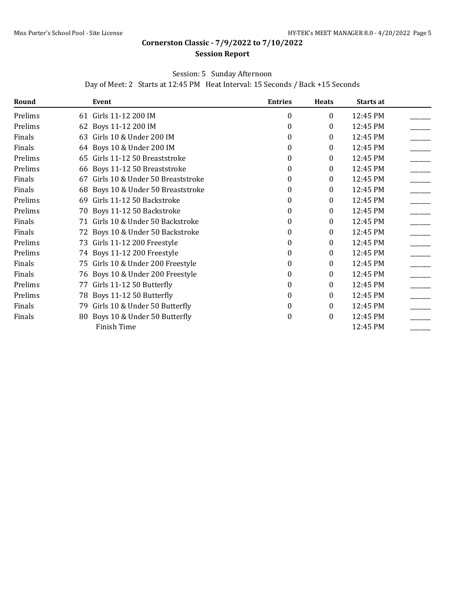#### **Session Report**

### Session: 5 Sunday Afternoon

Day of Meet: 2 Starts at 12:45 PM Heat Interval: 15 Seconds / Back +15 Seconds

| Round   |    | Event                              | <b>Entries</b>   | <b>Heats</b> | Starts at |  |
|---------|----|------------------------------------|------------------|--------------|-----------|--|
| Prelims |    | 61 Girls 11-12 200 IM              | 0                | 0            | 12:45 PM  |  |
| Prelims |    | 62 Boys 11-12 200 IM               | $\theta$         | 0            | 12:45 PM  |  |
| Finals  | 63 | Girls 10 & Under 200 IM            | $\theta$         | 0            | 12:45 PM  |  |
| Finals  |    | 64 Boys 10 & Under 200 IM          | $\theta$         | 0            | 12:45 PM  |  |
| Prelims |    | 65 Girls 11-12 50 Breaststroke     | $\Omega$         | 0            | 12:45 PM  |  |
| Prelims | 66 | Boys 11-12 50 Breaststroke         | $\theta$         | 0            | 12:45 PM  |  |
| Finals  | 67 | Girls 10 & Under 50 Breaststroke   | 0                | 0            | 12:45 PM  |  |
| Finals  |    | 68 Boys 10 & Under 50 Breaststroke | 0                | 0            | 12:45 PM  |  |
| Prelims | 69 | Girls 11-12 50 Backstroke          | $\Omega$         | 0            | 12:45 PM  |  |
| Prelims |    | 70 Boys 11-12 50 Backstroke        | 0                | 0            | 12:45 PM  |  |
| Finals  |    | 71 Girls 10 & Under 50 Backstroke  | $\Omega$         | 0            | 12:45 PM  |  |
| Finals  |    | 72 Boys 10 & Under 50 Backstroke   | $\theta$         | 0            | 12:45 PM  |  |
| Prelims |    | 73 Girls 11-12 200 Freestyle       | $\theta$         | 0            | 12:45 PM  |  |
| Prelims |    | 74 Boys 11-12 200 Freestyle        | $\theta$         | 0            | 12:45 PM  |  |
| Finals  |    | 75 Girls 10 & Under 200 Freestyle  | $\theta$         | 0            | 12:45 PM  |  |
| Finals  |    | 76 Boys 10 & Under 200 Freestyle   | 0                | 0            | 12:45 PM  |  |
| Prelims | 77 | Girls 11-12 50 Butterfly           | $\theta$         | 0            | 12:45 PM  |  |
| Prelims |    | 78 Boys 11-12 50 Butterfly         | $\Omega$         | 0            | 12:45 PM  |  |
| Finals  | 79 | Girls 10 & Under 50 Butterfly      | $\theta$         | 0            | 12:45 PM  |  |
| Finals  |    | 80 Boys 10 & Under 50 Butterfly    | $\boldsymbol{0}$ | 0            | 12:45 PM  |  |
|         |    | Finish Time                        |                  |              | 12:45 PM  |  |